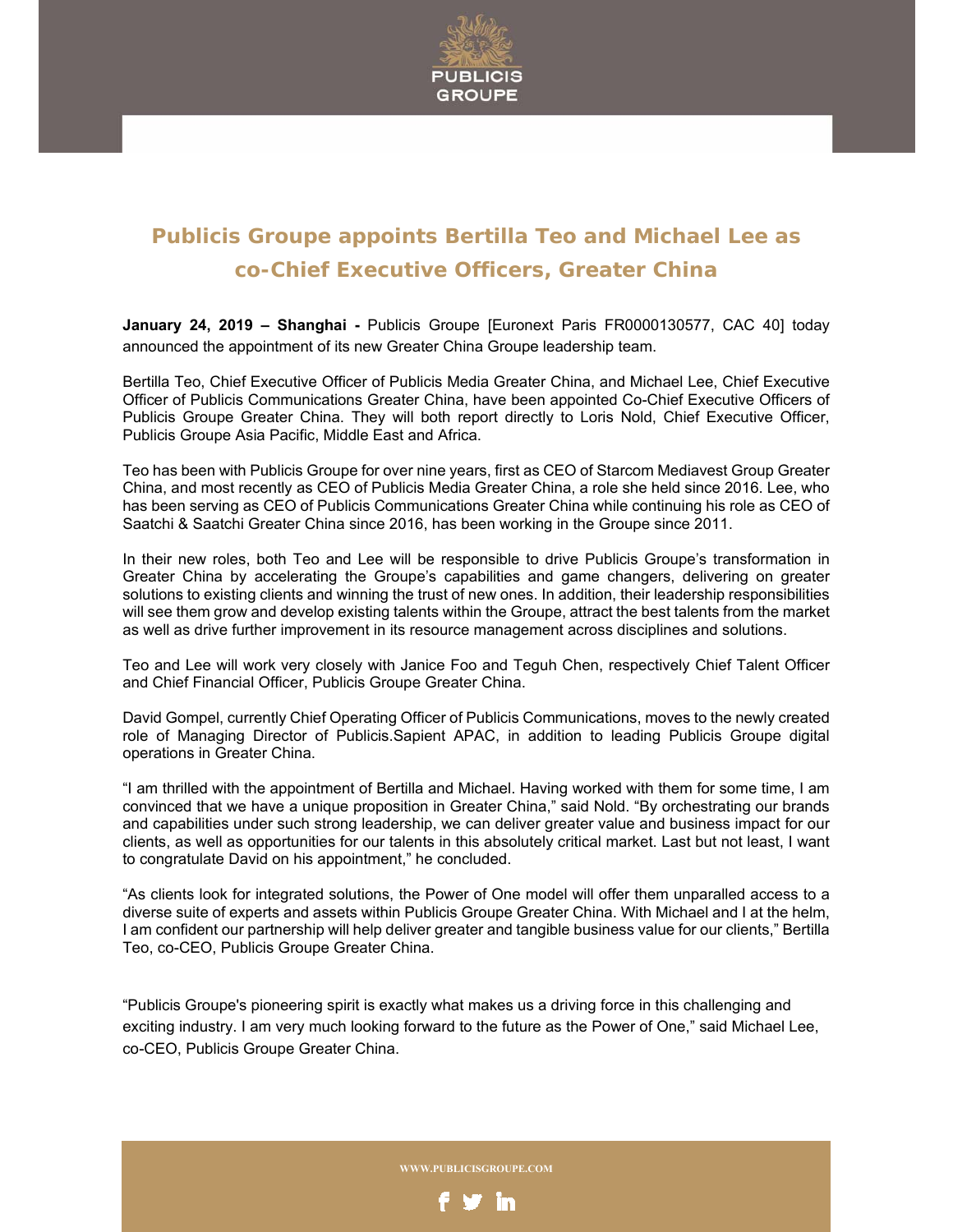

## **Publicis Groupe appoints Bertilla Teo and Michael Lee as co-Chief Executive Officers, Greater China**

**January 24, 2019 – Shanghai -** Publicis Groupe [Euronext Paris FR0000130577, CAC 40] today announced the appointment of its new Greater China Groupe leadership team.

Bertilla Teo, Chief Executive Officer of Publicis Media Greater China, and Michael Lee, Chief Executive Officer of Publicis Communications Greater China, have been appointed Co-Chief Executive Officers of Publicis Groupe Greater China. They will both report directly to Loris Nold, Chief Executive Officer, Publicis Groupe Asia Pacific, Middle East and Africa.

Teo has been with Publicis Groupe for over nine years, first as CEO of Starcom Mediavest Group Greater China, and most recently as CEO of Publicis Media Greater China, a role she held since 2016. Lee, who has been serving as CEO of Publicis Communications Greater China while continuing his role as CEO of Saatchi & Saatchi Greater China since 2016, has been working in the Groupe since 2011.

In their new roles, both Teo and Lee will be responsible to drive Publicis Groupe's transformation in Greater China by accelerating the Groupe's capabilities and game changers, delivering on greater solutions to existing clients and winning the trust of new ones. In addition, their leadership responsibilities will see them grow and develop existing talents within the Groupe, attract the best talents from the market as well as drive further improvement in its resource management across disciplines and solutions.

Teo and Lee will work very closely with Janice Foo and Teguh Chen, respectively Chief Talent Officer and Chief Financial Officer, Publicis Groupe Greater China.

David Gompel, currently Chief Operating Officer of Publicis Communications, moves to the newly created role of Managing Director of Publicis.Sapient APAC, in addition to leading Publicis Groupe digital operations in Greater China.

"I am thrilled with the appointment of Bertilla and Michael. Having worked with them for some time, I am convinced that we have a unique proposition in Greater China," said Nold. "By orchestrating our brands and capabilities under such strong leadership, we can deliver greater value and business impact for our clients, as well as opportunities for our talents in this absolutely critical market. Last but not least, I want to congratulate David on his appointment," he concluded.

"As clients look for integrated solutions, the Power of One model will offer them unparalled access to a diverse suite of experts and assets within Publicis Groupe Greater China. With Michael and I at the helm, I am confident our partnership will help deliver greater and tangible business value for our clients," Bertilla Teo, co-CEO, Publicis Groupe Greater China.

"Publicis Groupe's pioneering spirit is exactly what makes us a driving force in this challenging and exciting industry. I am very much looking forward to the future as the Power of One," said Michael Lee, co-CEO, Publicis Groupe Greater China.

**WWW.PUBLICISGROUPE.COM**